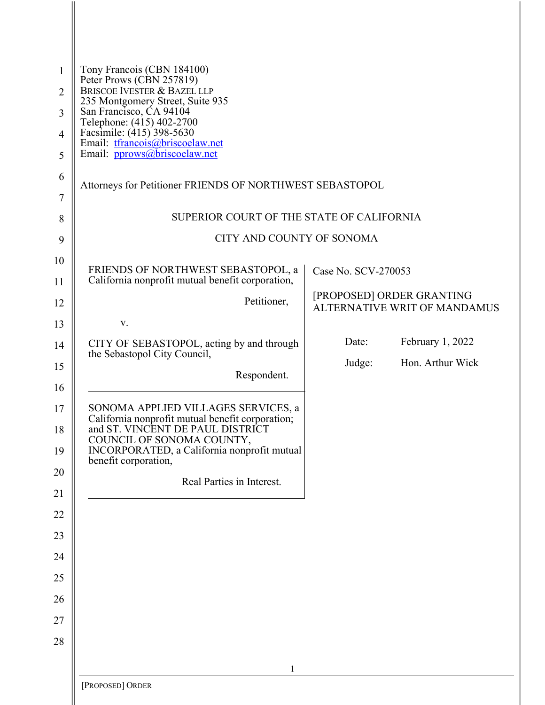| $\mathbf{1}$<br>$\overline{2}$<br>$\overline{3}$<br>4 | Tony Francois (CBN 184100)<br>Peter Prows (CBN 257819)<br>BRISCOE IVESTER & BAZEL LLP<br>235 Montgomery Street, Suite 935<br>San Francisco, ČA 94104<br>Telephone: (415) 402-2700<br>Facsimile: (415) 398-5630                  |                     |                                                           |  |
|-------------------------------------------------------|---------------------------------------------------------------------------------------------------------------------------------------------------------------------------------------------------------------------------------|---------------------|-----------------------------------------------------------|--|
| 5                                                     | Email: tfrancois@briscoelaw.net<br>Email: pprows@briscoelaw.net                                                                                                                                                                 |                     |                                                           |  |
| 6<br>7                                                | Attorneys for Petitioner FRIENDS OF NORTHWEST SEBASTOPOL                                                                                                                                                                        |                     |                                                           |  |
| 8                                                     | SUPERIOR COURT OF THE STATE OF CALIFORNIA                                                                                                                                                                                       |                     |                                                           |  |
| 9                                                     | CITY AND COUNTY OF SONOMA                                                                                                                                                                                                       |                     |                                                           |  |
| 10<br>11                                              | FRIENDS OF NORTHWEST SEBASTOPOL, a<br>California nonprofit mutual benefit corporation,                                                                                                                                          | Case No. SCV-270053 |                                                           |  |
| 12                                                    | Petitioner,                                                                                                                                                                                                                     |                     | [PROPOSED] ORDER GRANTING<br>ALTERNATIVE WRIT OF MANDAMUS |  |
| 13                                                    | V.                                                                                                                                                                                                                              |                     |                                                           |  |
| 14                                                    | CITY OF SEBASTOPOL, acting by and through<br>the Sebastopol City Council,                                                                                                                                                       | Date:               | February 1, 2022                                          |  |
| 15<br>16                                              | Respondent.                                                                                                                                                                                                                     | Judge:              | Hon. Arthur Wick                                          |  |
| 17<br>18<br>19                                        | SONOMA APPLIED VILLAGES SERVICES, a<br>California nonprofit mutual benefit corporation;<br>and ST. VINCENT DE PAUL DISTRICT<br>COUNCIL OF SONOMA COUNTY,<br>INCORPORATED, a California nonprofit mutual<br>benefit corporation, |                     |                                                           |  |
| 20<br>21                                              | Real Parties in Interest.                                                                                                                                                                                                       |                     |                                                           |  |
| 22                                                    |                                                                                                                                                                                                                                 |                     |                                                           |  |
| 23                                                    |                                                                                                                                                                                                                                 |                     |                                                           |  |
| 24<br>25                                              |                                                                                                                                                                                                                                 |                     |                                                           |  |
| 26                                                    |                                                                                                                                                                                                                                 |                     |                                                           |  |
| 27                                                    |                                                                                                                                                                                                                                 |                     |                                                           |  |
| 28                                                    |                                                                                                                                                                                                                                 |                     |                                                           |  |
|                                                       | $\mathbf{1}$                                                                                                                                                                                                                    |                     |                                                           |  |
|                                                       | [PROPOSED] ORDER                                                                                                                                                                                                                |                     |                                                           |  |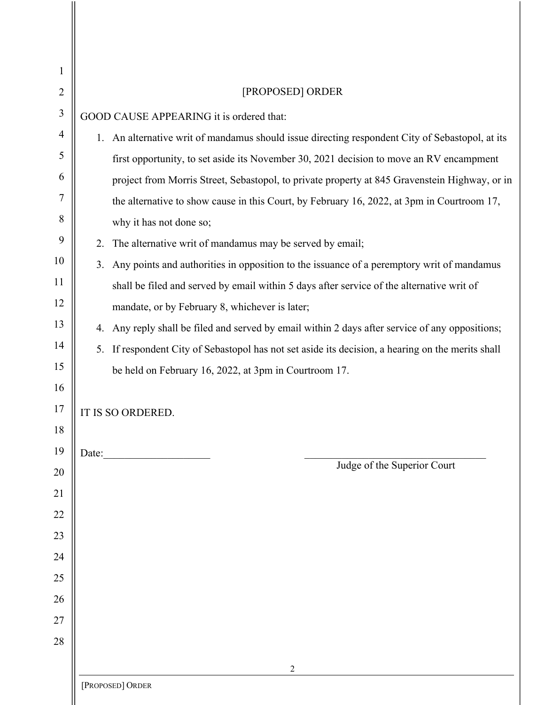| 1              |                                                                                                   |  |  |
|----------------|---------------------------------------------------------------------------------------------------|--|--|
| $\overline{2}$ | [PROPOSED] ORDER                                                                                  |  |  |
| 3              | GOOD CAUSE APPEARING it is ordered that:                                                          |  |  |
| 4              | 1. An alternative writ of mandamus should issue directing respondent City of Sebastopol, at its   |  |  |
| 5              | first opportunity, to set aside its November 30, 2021 decision to move an RV encampment           |  |  |
| 6              | project from Morris Street, Sebastopol, to private property at 845 Gravenstein Highway, or in     |  |  |
| 7              | the alternative to show cause in this Court, by February 16, 2022, at 3pm in Courtroom 17,        |  |  |
| 8              | why it has not done so;                                                                           |  |  |
| 9              | The alternative writ of mandamus may be served by email;<br>2.                                    |  |  |
| 10             | Any points and authorities in opposition to the issuance of a peremptory writ of mandamus<br>3.   |  |  |
| 11             | shall be filed and served by email within 5 days after service of the alternative writ of         |  |  |
| 12             | mandate, or by February 8, whichever is later;                                                    |  |  |
| 13             | 4. Any reply shall be filed and served by email within 2 days after service of any oppositions;   |  |  |
| 14             | 5. If respondent City of Sebastopol has not set aside its decision, a hearing on the merits shall |  |  |
| 15             | be held on February 16, 2022, at 3pm in Courtroom 17.                                             |  |  |
| 16             |                                                                                                   |  |  |
| 17             | IT IS SO ORDERED.                                                                                 |  |  |
| 18             |                                                                                                   |  |  |
| 19             | Date:<br>Judge of the Superior Court                                                              |  |  |
| 20<br>21       |                                                                                                   |  |  |
| 22             |                                                                                                   |  |  |
| 23             |                                                                                                   |  |  |
| 24             |                                                                                                   |  |  |
| 25             |                                                                                                   |  |  |
| 26             |                                                                                                   |  |  |
| 27             |                                                                                                   |  |  |
| 28             |                                                                                                   |  |  |
|                | 2                                                                                                 |  |  |
|                | [PROPOSED] ORDER                                                                                  |  |  |
|                |                                                                                                   |  |  |

 $\mathop{\rm II}\nolimits$